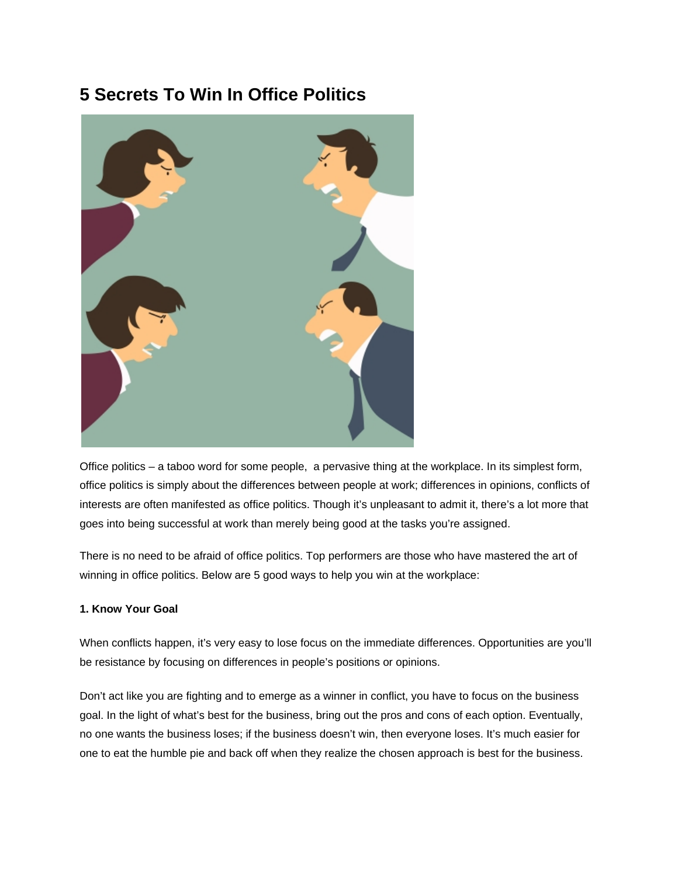# **5 Secrets To Win In Office Politics**



Office politics – a taboo word for some people, a pervasive thing at the workplace. In its simplest form, office politics is simply about the differences between people at work; differences in opinions, conflicts of interests are often manifested as office politics. Though it's unpleasant to admit it, there's a lot more that goes into being successful at work than merely being good at the tasks you're assigned.

There is no need to be afraid of office politics. Top performers are those who have mastered the art of winning in office politics. Below are 5 good ways to help you win at the workplace:

# **1. Know Your Goal**

When conflicts happen, it's very easy to lose focus on the immediate differences. Opportunities are you'll be resistance by focusing on differences in people's positions or opinions.

Don't act like you are fighting and to emerge as a winner in conflict, you have to focus on the business goal. In the light of what's best for the business, bring out the pros and cons of each option. Eventually, no one wants the business loses; if the business doesn't win, then everyone loses. It's much easier for one to eat the humble pie and back off when they realize the chosen approach is best for the business.